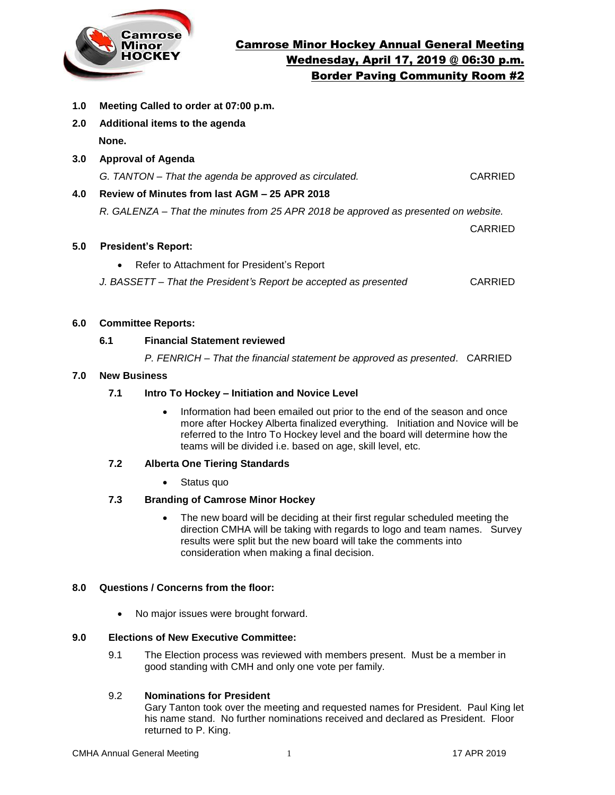

- **1.0 Meeting Called to order at 07:00 p.m.**
- **2.0 Additional items to the agenda None.**
- **3.0 Approval of Agenda**

*G. TANTON – That the agenda be approved as circulated.* CARRIED

# **4.0 Review of Minutes from last AGM – 25 APR 2018**

*R. GALENZA – That the minutes from 25 APR 2018 be approved as presented on website.* 

CARRIED

# **5.0 President's Report:**

Refer to Attachment for President's Report

*J. BASSETT – That the President's Report be accepted as presented* CARRIED

# **6.0 Committee Reports:**

# **6.1 Financial Statement reviewed**

*P. FENRICH – That the financial statement be approved as presented*. CARRIED

# **7.0 New Business**

# **7.1 Intro To Hockey – Initiation and Novice Level**

 Information had been emailed out prior to the end of the season and once more after Hockey Alberta finalized everything. Initiation and Novice will be referred to the Intro To Hockey level and the board will determine how the teams will be divided i.e. based on age, skill level, etc.

# **7.2 Alberta One Tiering Standards**

• Status quo

# **7.3 Branding of Camrose Minor Hockey**

 The new board will be deciding at their first regular scheduled meeting the direction CMHA will be taking with regards to logo and team names. Survey results were split but the new board will take the comments into consideration when making a final decision.

### **8.0 Questions / Concerns from the floor:**

• No major issues were brought forward.

### **9.0 Elections of New Executive Committee:**

9.1 The Election process was reviewed with members present. Must be a member in good standing with CMH and only one vote per family.

# 9.2 **Nominations for President**

Gary Tanton took over the meeting and requested names for President. Paul King let his name stand. No further nominations received and declared as President. Floor returned to P. King.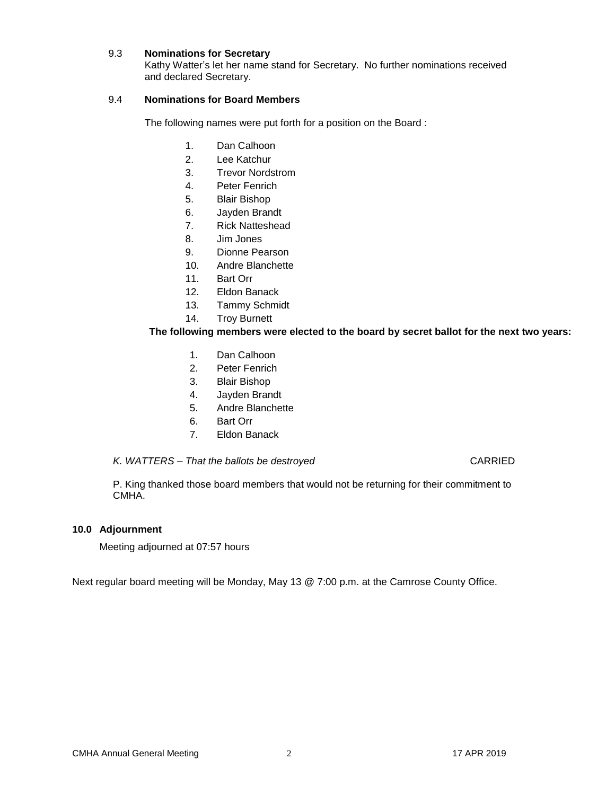#### 9.3 **Nominations for Secretary**

Kathy Watter's let her name stand for Secretary. No further nominations received and declared Secretary.

# 9.4 **Nominations for Board Members**

The following names were put forth for a position on the Board :

- 1. Dan Calhoon
- 2. Lee Katchur
- 3. Trevor Nordstrom
- 4. Peter Fenrich
- 5. Blair Bishop
- 6. Jayden Brandt
- 7. Rick Natteshead
- 8. Jim Jones
- 9. Dionne Pearson
- 10. Andre Blanchette
- 11. Bart Orr
- 12. Eldon Banack
- 13. Tammy Schmidt
- 14. Troy Burnett

# **The following members were elected to the board by secret ballot for the next two years:**

- 1. Dan Calhoon
- 2. Peter Fenrich
- 3. Blair Bishop
- 4. Jayden Brandt
- 5. Andre Blanchette
- 6. Bart Orr
- 7. Eldon Banack

#### *K. WATTERS – That the ballots be destroyed* CARRIED

P. King thanked those board members that would not be returning for their commitment to CMHA.

#### **10.0 Adjournment**

Meeting adjourned at 07:57 hours

Next regular board meeting will be Monday, May 13 @ 7:00 p.m. at the Camrose County Office.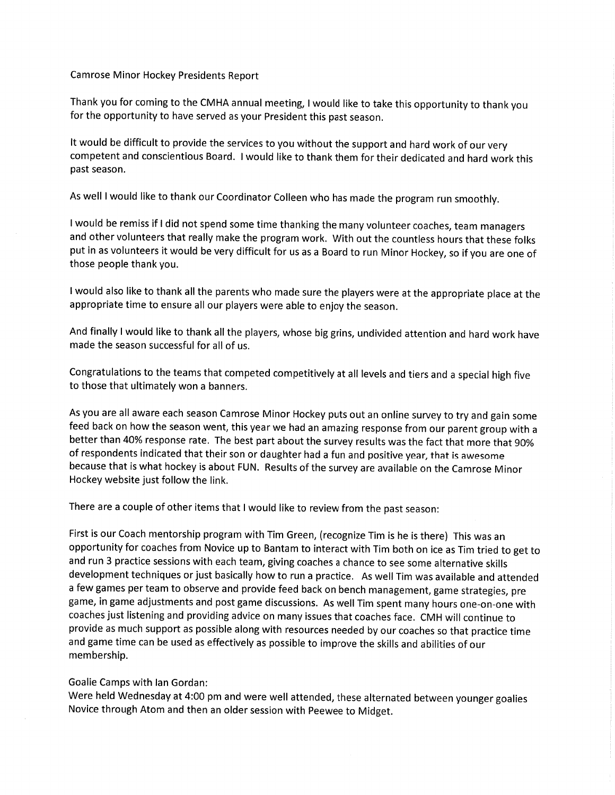**Camrose Minor Hockey Presidents Report** 

Thank you for coming to the CMHA annual meeting, I would like to take this opportunity to thank you for the opportunity to have served as your President this past season.

It would be difficult to provide the services to you without the support and hard work of our very competent and conscientious Board. I would like to thank them for their dedicated and hard work this past season.

As well I would like to thank our Coordinator Colleen who has made the program run smoothly.

I would be remiss if I did not spend some time thanking the many volunteer coaches, team managers and other volunteers that really make the program work. With out the countless hours that these folks put in as volunteers it would be very difficult for us as a Board to run Minor Hockey, so if you are one of those people thank you.

I would also like to thank all the parents who made sure the players were at the appropriate place at the appropriate time to ensure all our players were able to enjoy the season.

And finally I would like to thank all the players, whose big grins, undivided attention and hard work have made the season successful for all of us.

Congratulations to the teams that competed competitively at all levels and tiers and a special high five to those that ultimately won a banners.

As you are all aware each season Camrose Minor Hockey puts out an online survey to try and gain some feed back on how the season went, this year we had an amazing response from our parent group with a better than 40% response rate. The best part about the survey results was the fact that more that 90% of respondents indicated that their son or daughter had a fun and positive year, that is awesome because that is what hockey is about FUN. Results of the survey are available on the Camrose Minor Hockey website just follow the link.

There are a couple of other items that I would like to review from the past season:

First is our Coach mentorship program with Tim Green, (recognize Tim is he is there) This was an opportunity for coaches from Novice up to Bantam to interact with Tim both on ice as Tim tried to get to and run 3 practice sessions with each team, giving coaches a chance to see some alternative skills development techniques or just basically how to run a practice. As well Tim was available and attended a few games per team to observe and provide feed back on bench management, game strategies, pre game, in game adjustments and post game discussions. As well Tim spent many hours one-on-one with coaches just listening and providing advice on many issues that coaches face. CMH will continue to provide as much support as possible along with resources needed by our coaches so that practice time and game time can be used as effectively as possible to improve the skills and abilities of our membership.

# Goalie Camps with Ian Gordan:

Were held Wednesday at 4:00 pm and were well attended, these alternated between younger goalies Novice through Atom and then an older session with Peewee to Midget.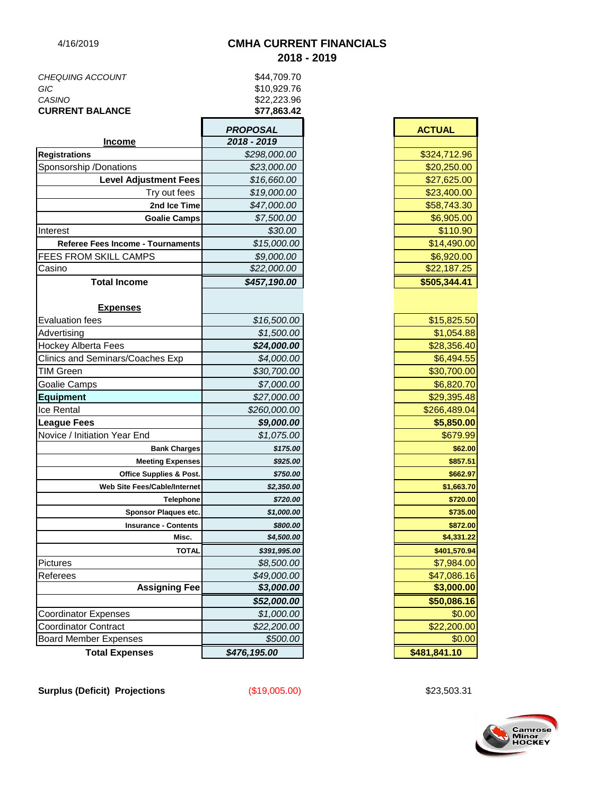# 4/16/2019 **CMHA CURRENT FINANCIALS 2018 - 2019**

|                         | <b>DDODOSAI</b> |
|-------------------------|-----------------|
| <b>CURRENT BALANCE</b>  | \$77,863.42     |
| CASINO                  | \$22,223,96     |
| GIC                     | \$10,929.76     |
| <b>CHEQUING ACCOUNT</b> | \$44.709.70     |
|                         |                 |

|                                         | PROPOSAL     | <b>AUTUAL</b> |
|-----------------------------------------|--------------|---------------|
| <b>Income</b>                           | 2018 - 2019  |               |
| <b>Registrations</b>                    | \$298,000.00 | \$324,712.96  |
| Sponsorship /Donations                  | \$23,000.00  | \$20,250.00   |
| <b>Level Adjustment Fees</b>            | \$16,660.00  | \$27,625.00   |
| Try out fees                            | \$19,000.00  | \$23,400.00   |
| 2nd Ice Time                            | \$47,000.00  | \$58,743.30   |
| <b>Goalie Camps</b>                     | \$7,500.00   | \$6,905.00    |
| Interest                                | \$30.00      | \$110.90      |
| Referee Fees Income - Tournaments       | \$15,000.00  | \$14,490.00   |
| FEES FROM SKILL CAMPS                   | \$9,000.00   | \$6,920.00    |
| Casino                                  | \$22,000.00  | \$22,187.25   |
| <b>Total Income</b>                     | \$457,190.00 | \$505,344.41  |
| <b>Expenses</b>                         |              |               |
| <b>Evaluation fees</b>                  | \$16,500.00  | \$15,825.50   |
| Advertising                             | \$1,500.00   | \$1,054.88    |
| <b>Hockey Alberta Fees</b>              | \$24,000.00  | \$28,356.40   |
| <b>Clinics and Seminars/Coaches Exp</b> | \$4,000.00   | \$6,494.55    |
| <b>TIM Green</b>                        | \$30,700.00  | \$30,700.00   |
| Goalie Camps                            | \$7,000.00   | \$6,820.70    |
| <b>Equipment</b>                        | \$27,000.00  | \$29,395.48   |
| Ice Rental                              | \$260,000.00 | \$266,489.04  |
| <b>League Fees</b>                      | \$9,000.00   | \$5,850.00    |
| Novice / Initiation Year End            | \$1,075.00   | \$679.99      |
| <b>Bank Charges</b>                     | \$175.00     | \$62.00       |
| <b>Meeting Expenses</b>                 | \$925.00     | \$857.51      |
| <b>Office Supplies &amp; Post.</b>      | \$750.00     | \$662.97      |
| Web Site Fees/Cable/Internet            | \$2,350.00   | \$1,663.70    |
| Telephone                               | \$720.00     | \$720.00      |
| Sponsor Plaques etc.                    | \$1,000.00   | \$735.00      |
| <b>Insurance - Contents</b>             | \$800.00     | \$872.00      |
| Misc.                                   | \$4,500.00   | \$4,331.22    |
| TOTAL                                   | \$391,995.00 | \$401,570.94  |
| <b>Pictures</b>                         | \$8,500.00   | \$7,984.00    |
| Referees                                | \$49,000.00  | \$47,086.16   |
| <b>Assigning Fee</b>                    | \$3,000.00   | \$3,000.00    |
|                                         | \$52,000.00  | \$50,086.16   |
| <b>Coordinator Expenses</b>             | \$1,000.00   | \$0.00        |
| <b>Coordinator Contract</b>             | \$22,200.00  | \$22,200.00   |
| <b>Board Member Expenses</b>            | \$500.00     | \$0.00        |
| <b>Total Expenses</b>                   | \$476,195.00 | \$481,841.10  |

| OSAL               | <b>ACTUAL</b> |
|--------------------|---------------|
| 2019 ،             |               |
| 298,000.00         | \$324,712.96  |
| \$23,000.00        | \$20,250.00   |
| \$16,660.00        | \$27,625.00   |
| \$19,000.00        | \$23,400.00   |
| \$47,000.00        | \$58,743.30   |
| \$7,500.00         | \$6,905.00    |
| \$30.00            | \$110.90      |
| \$15,000.00        | \$14,490.00   |
| \$9,000.00         | \$6,920.00    |
| 522,000.00         | \$22,187.25   |
| 157,190.00         | \$505,344.41  |
|                    |               |
| \$16,500.00        | \$15,825.50   |
| \$1,500.00         | \$1,054.88    |
| \$24,000.00        | \$28,356.40   |
| \$4,000.00         | \$6,494.55    |
| \$30,700.00        | \$30,700.00   |
| \$7,000.00         | \$6,820.70    |
| \$27,000.00        | \$29,395.48   |
| 260,000.00         | \$266,489.04  |
| \$9,000.00         | \$5,850.00    |
| \$1,075.00         | \$679.99      |
| \$175.00           | \$62.00       |
| \$925.00           | \$857.51      |
| \$750.00           | \$662.97      |
| \$2,350.00         | \$1,663.70    |
| \$720.00           | \$720.00      |
| \$1,000.00         | \$735.00      |
| \$800.00           | \$872.00      |
| \$4,500.00         | \$4,331.22    |
| \$391,995.00       | \$401,570.94  |
| \$8,500.00         | \$7,984.00    |
| <i>\$49,000.00</i> | \$47,086.16   |
| \$3,000.00         | \$3,000.00    |
| \$52,000.00        | \$50,086.16   |
| \$1,000.00         | \$0.00        |
| \$22,200.00        | \$22,200.00   |
| \$500.00           | \$0.00        |
| 195.00             | \$481,841.10  |

F

**Surplus (Deficit) Projections** (\$19,005.00) \$23,503.31

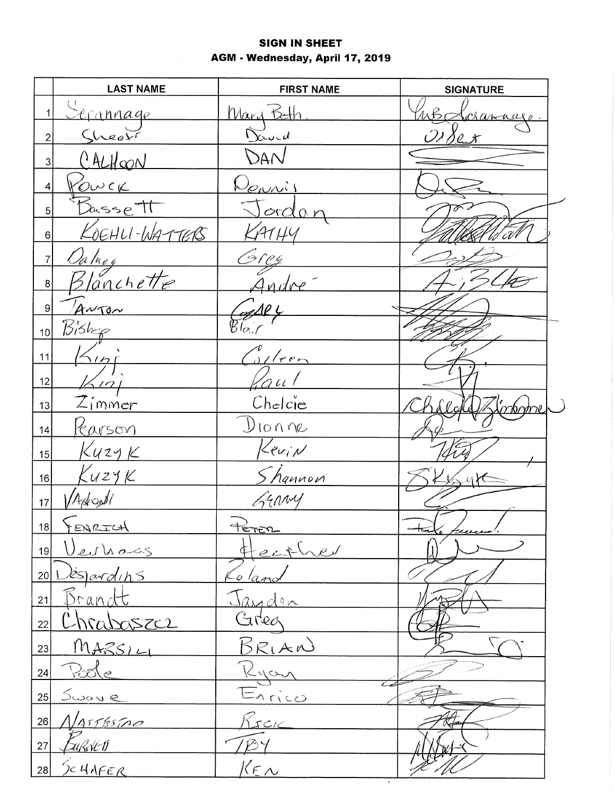# **SIGN IN SHEET** AGM - Wednesday, April 17, 2019

|                          | <b>LAST NAME</b>            | <b>FIRST NAME</b>                  | <b>SIGNATURE</b> |
|--------------------------|-----------------------------|------------------------------------|------------------|
| $\mathbf 1$              | Serannage                   | Mary Beth                          | wed<br>irranage  |
| $\overline{2}$           | Sheer                       | Devid                              | Or Sex           |
| 3                        | CALHOON                     | DAN                                |                  |
| 4                        | Power                       | Donnis                             |                  |
| 5                        | Bassett                     | <u>ordan</u>                       |                  |
| $\,6\,$                  | KOEHU-WATTERS               | ATHY                               |                  |
| $\overline{\mathcal{I}}$ |                             |                                    |                  |
| $\bf 8$                  | <u>Daluey</u><br>Blanchette |                                    |                  |
| $\boldsymbol{9}$         | ANTON                       | ΛP L                               |                  |
| 10                       | $B$ iskep                   | $\widetilde{\mathcal{B}_{\alpha}}$ |                  |
| 11                       | $\frac{1}{1}$               | $\frac{1}{2}$ /een                 |                  |
| 12                       | $\frac{2}{1}$               | 'au                                |                  |
| 13                       | $Z$ immer                   | Chelcie                            | Zinforme         |
| 14                       | <u>Karson</u>               | DIONNe                             |                  |
| 15                       | KuzyK                       | Kevin                              |                  |
| 16                       | $K$ uzy $K$                 | hannon                             |                  |
| 17                       | Appople                     | Grany                              |                  |
| 18                       | FENRICH                     | PETER                              | teaks freecen.   |
| 19                       | <u>Veulioss</u>             | Heather                            |                  |
| 20                       | ispardins                   | To lano                            |                  |
| 21                       | <u>Drandt</u>               |                                    |                  |
| 22                       | <u>hrabaszcz</u>            | Jayden<br>Greg                     |                  |
| 23                       | $MASSI-L$                   | BRIAN                              |                  |
| 24                       | Pode                        | Ryan                               |                  |
| 25                       | <u>Swave</u>                | Enrico                             |                  |
| 26                       | Varresino                   | RICK                               |                  |
| 27                       | <u>Eußsten</u>              | E                                  |                  |
| 28                       | <u>SCHAFER</u>              | $k_{\text{max}}$                   |                  |